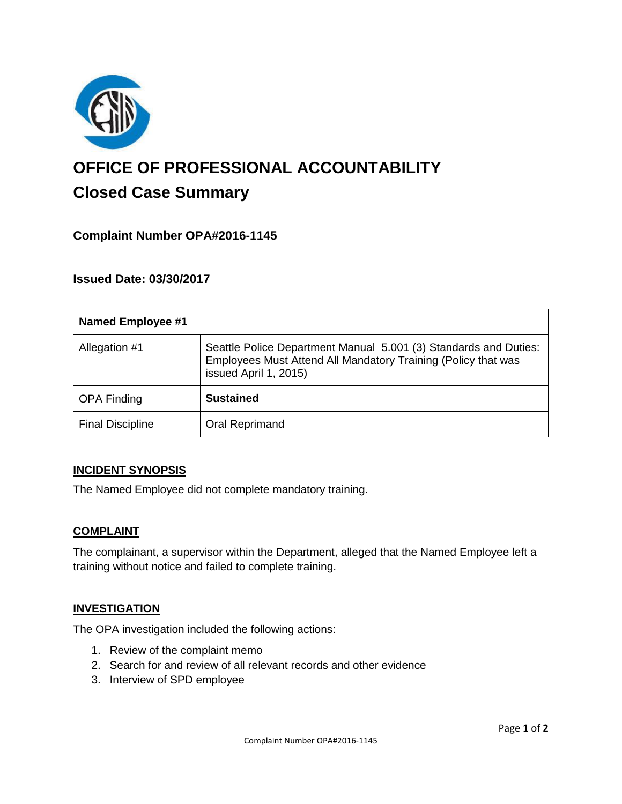

# **OFFICE OF PROFESSIONAL ACCOUNTABILITY Closed Case Summary**

# **Complaint Number OPA#2016-1145**

### **Issued Date: 03/30/2017**

| <b>Named Employee #1</b> |                                                                                                                                                            |
|--------------------------|------------------------------------------------------------------------------------------------------------------------------------------------------------|
| Allegation #1            | Seattle Police Department Manual 5.001 (3) Standards and Duties:<br>Employees Must Attend All Mandatory Training (Policy that was<br>issued April 1, 2015) |
| <b>OPA Finding</b>       | <b>Sustained</b>                                                                                                                                           |
| <b>Final Discipline</b>  | Oral Reprimand                                                                                                                                             |

#### **INCIDENT SYNOPSIS**

The Named Employee did not complete mandatory training.

#### **COMPLAINT**

The complainant, a supervisor within the Department, alleged that the Named Employee left a training without notice and failed to complete training.

#### **INVESTIGATION**

The OPA investigation included the following actions:

- 1. Review of the complaint memo
- 2. Search for and review of all relevant records and other evidence
- 3. Interview of SPD employee